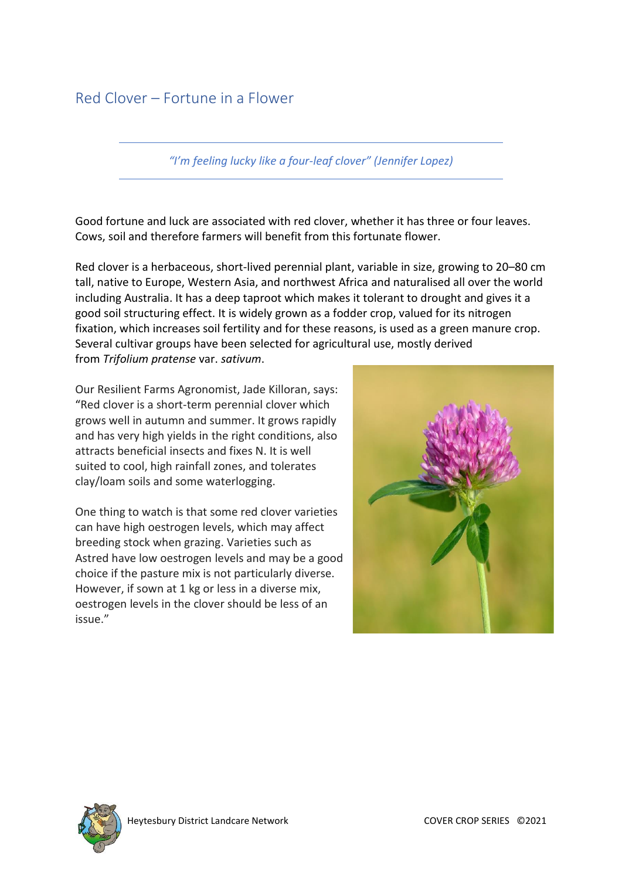# Red Clover – Fortune in a Flower

*"I'm feeling lucky like a four-leaf clover" (Jennifer Lopez)*

Good fortune and luck are associated with red clover, whether it has three or four leaves. Cows, soil and therefore farmers will benefit from this fortunate flower.

Red clover is a [herbaceous,](https://en.wikipedia.org/wiki/Herbaceous) short-lived [perennial plant,](https://en.wikipedia.org/wiki/Perennial_plant) variable in size, growing to 20–80 cm tall, native to Europe, Western Asia, and northwest Africa and naturalised all over the world including Australia. It has a deep taproot which makes it tolerant to drought and gives it a good soil structuring effect. It is widely grown as a [fodder](https://en.wikipedia.org/wiki/Fodder) crop, valued for its [nitrogen](https://en.wikipedia.org/wiki/Nitrogen_fixation) [fixation,](https://en.wikipedia.org/wiki/Nitrogen_fixation) which increases soil fertility and for these reasons, is used as a [green manure](https://en.wikipedia.org/wiki/Green_manure) crop. Several [cultivar groups](https://en.wikipedia.org/wiki/Cultivar_group) have been selected for agricultural use, mostly derived from *Trifolium pratense* var. *sativum*.

Our Resilient Farms Agronomist, Jade Killoran, says: "Red clover is a short-term perennial clover which grows well in autumn and summer. It grows rapidly and has very high yields in the right conditions, also attracts beneficial insects and fixes N. It is well suited to cool, high rainfall zones, and tolerates clay/loam soils and some waterlogging.

One thing to watch is that some red clover varieties can have high oestrogen levels, which may affect breeding stock when grazing. Varieties such as Astred have low oestrogen levels and may be a good choice if the pasture mix is not particularly diverse. However, if sown at 1 kg or less in a diverse mix, oestrogen levels in the clover should be less of an issue."



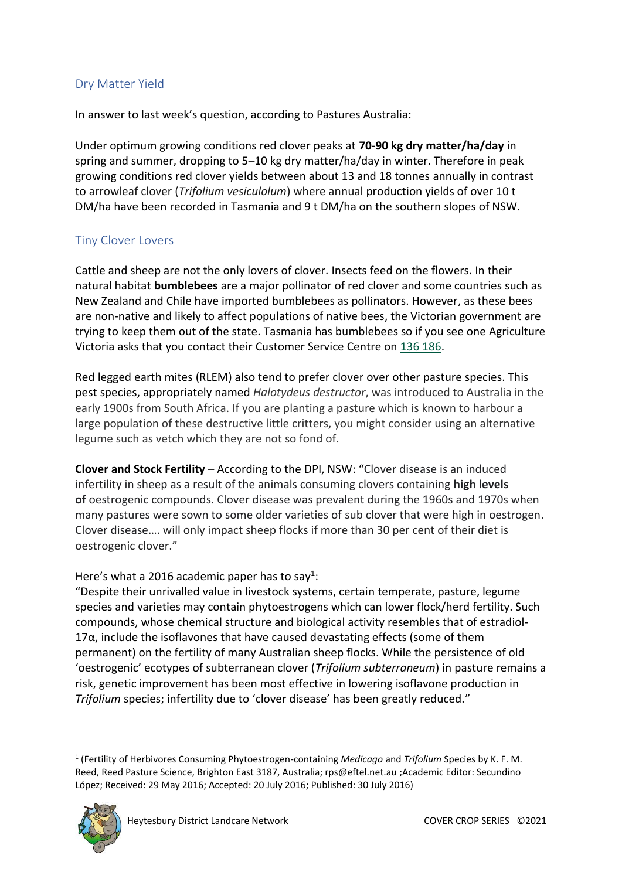## Dry Matter Yield

In answer to last week's question, according to Pastures Australia:

Under optimum growing conditions red clover peaks at **70-90 kg dry matter/ha/day** in spring and summer, dropping to 5–10 kg dry matter/ha/day in winter. Therefore in peak growing conditions red clover yields between about 13 and 18 tonnes annually in contrast to arrowleaf clover (*Trifolium vesiculolum*) where annual production yields of over 10 t DM/ha have been recorded in Tasmania and 9 t DM/ha on the southern slopes of NSW.

### Tiny Clover Lovers

Cattle and sheep are not the only lovers of clover. Insects feed on the flowers. In their natural habitat **bumblebees** are a major pollinator of red clover and some countries such as New Zealand and Chile have imported bumblebees as pollinators. However, as these bees are non-native and likely to affect populations of native bees, the Victorian government are trying to keep them out of the state. Tasmania has bumblebees so if you see one Agriculture Victoria asks that you contact their Customer Service Centre on [136 186.](tel:136186)

Red legged earth mites (RLEM) also tend to prefer clover over other pasture species. This pest species, appropriately named *Halotydeus destructor*, was introduced to Australia in the early 1900s from South Africa. If you are planting a pasture which is known to harbour a large population of these destructive little critters, you might consider using an alternative legume such as vetch which they are not so fond of.

**Clover and Stock Fertility** – According to the DPI, NSW: "Clover disease is an induced infertility in sheep as a result of the animals consuming clovers containing **high levels of** oestrogenic compounds. Clover disease was prevalent during the 1960s and 1970s when many pastures were sown to some older varieties of sub clover that were high in oestrogen. Clover disease…. will only impact sheep flocks if more than 30 per cent of their diet is oestrogenic clover."

#### Here's what a 2016 academic paper has to say<sup>1</sup>:

"Despite their unrivalled value in livestock systems, certain temperate, pasture, legume species and varieties may contain phytoestrogens which can lower flock/herd fertility. Such compounds, whose chemical structure and biological activity resembles that of estradiol- $17\alpha$ , include the isoflavones that have caused devastating effects (some of them permanent) on the fertility of many Australian sheep flocks. While the persistence of old 'oestrogenic' ecotypes of subterranean clover (*Trifolium subterraneum*) in pasture remains a risk, genetic improvement has been most effective in lowering isoflavone production in *Trifolium* species; infertility due to 'clover disease' has been greatly reduced."

<sup>1</sup> (Fertility of Herbivores Consuming Phytoestrogen-containing *Medicago* and *Trifolium* Species by K. F. M. Reed, Reed Pasture Science, Brighton East 3187, Australia; rps@eftel.net.au ;Academic Editor: Secundino López; Received: 29 May 2016; Accepted: 20 July 2016; Published: 30 July 2016)